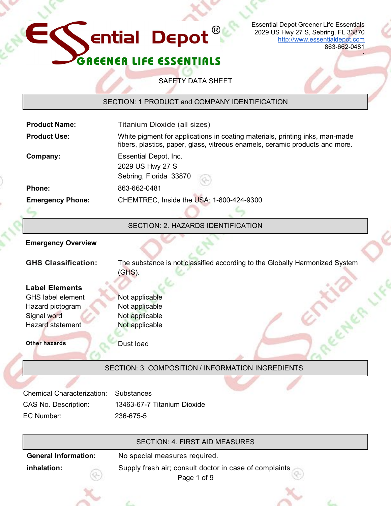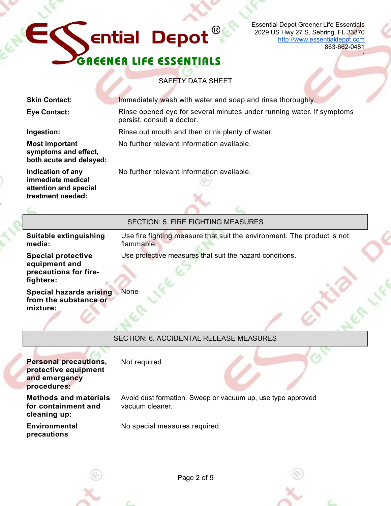## GREENER LIFE ESSENTIALS

Essential Depot Greener Life Essentials 2029 US Hwy 27 S, Sebring, FL 33870 [http://www.essentialdepot.com](http://www.essentialdepot.com/) 863-662-0481

:

SAFETY DATA SHEET

|                                                | <b>Skin Contact:</b>                                                                 | Immediately wash with water and soap and rinse thoroughly.                                          |
|------------------------------------------------|--------------------------------------------------------------------------------------|-----------------------------------------------------------------------------------------------------|
|                                                | <b>Eye Contact:</b>                                                                  | Rinse opened eye for several minutes under running water. If symptoms<br>persist, consult a doctor. |
|                                                | Ingestion:                                                                           | Rinse out mouth and then drink plenty of water.                                                     |
|                                                | <b>Most important</b><br>symptoms and effect,<br>both acute and delayed:             | No further relevant information available.                                                          |
|                                                | Indication of any<br>immediate medical<br>attention and special<br>treatment needed: | No further relevant information available.                                                          |
|                                                |                                                                                      | <b>SECTION: 5. FIRE FIGHTING MEASURES</b>                                                           |
|                                                |                                                                                      |                                                                                                     |
|                                                | Suitable extinguishing<br>media:                                                     | Use fire fighting measure that suit the environment. The product is not<br>flammable.               |
|                                                | <b>Special protective</b><br>equipment and<br>precautions for fire-<br>fighters:     | Use protective measures that suit the hazard conditions.                                            |
|                                                | <b>Special hazards arising</b><br>from the substance or<br>mixture:                  | None                                                                                                |
| <b>SECTION: 6. ACCIDENTAL RELEASE MEASURES</b> |                                                                                      |                                                                                                     |
|                                                | <b>Personal precautions,</b><br>protective equipment<br>and emergency<br>procedures: | Not required                                                                                        |
|                                                | <b>Methods and materials</b><br>for containment and<br>cleaning up:                  | Avoid dust formation. Sweep or vacuum up, use type approved<br>vacuum cleaner.                      |

**Environmental precautions**

No special measures required.



Page 2 of 9

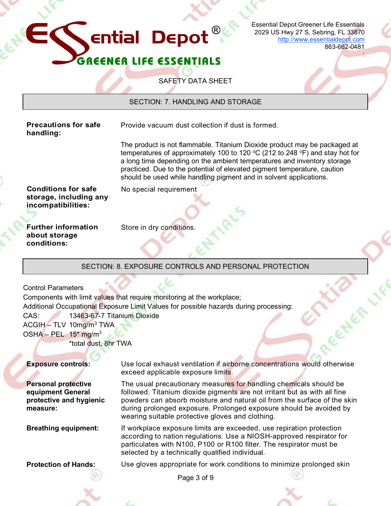

Essential Depot Greener Life Essentials 2029 US Hwy 27 S, Sebring, FL 33870 [http://www.essentialdepot.com](http://www.essentialdepot.com/) 863-662-0481

:

## SAFETY DATA SHEET

SECTION: 7. HANDLING AND STORAGE

**Precautions for safe handling:**

Provide vacuum dust collection if dust is formed.

The product is not flammable. Titanium Dioxide product may be packaged at temperatures of approximately 100 to 120  $^{\circ}$ C (212 to 248  $^{\circ}$ F) and stay hot for a long time depending on the ambient temperatures and inventory storage practiced. Due to the potential of elevated pigment temperature, caution should be used while handling pigment and in solvent applications.

**Conditions for safe storage, including any incompatibilities:**

No special requirement

**Further information about storage conditions:**

Store in dry conditions.

## SECTION: 8. EXPOSURE CONTROLS AND PERSONAL PROTECTION

Control Parameters Components with limit values that require monitoring at the workplace; Additional Occupational Exposure Limit Values for possible hazards during processing: CAS: 13463-67-7 Titanium Dioxide  $ACGH - TLV 10mg/m<sup>3</sup> TWA$ OSHA – PEL  $15<sup>*</sup>$  mg/m<sup>3</sup> \*total dust, 8hr TWA

**Personal protective equipment General protective and hygienic measure:**

**Exposure controls:** Use local exhaust ventilation if airborne concentrations would otherwise exceed applicable exposure limits.

> The usual precautionary measures for handling chemicals should be followed. Titanium dioxide pigments are not irritant but as with all fine powders can absorb moisture and natural oil from the surface of the skin during prolonged exposure. Prolonged exposure should be avoided by wearing suitable protective gloves and clothing.

**Breathing equipment:** If workplace exposure limits are exceeded, use repiration protection according to nation regulations. Use a NIOSH-approved respirator for particulates with N100, P100 or R100 filter. The respirator must be selected by a technically qualified individual.

**Protection of Hands:** Use gloves appropriate for work conditions to minimize prolonged skin

Page 3 of 9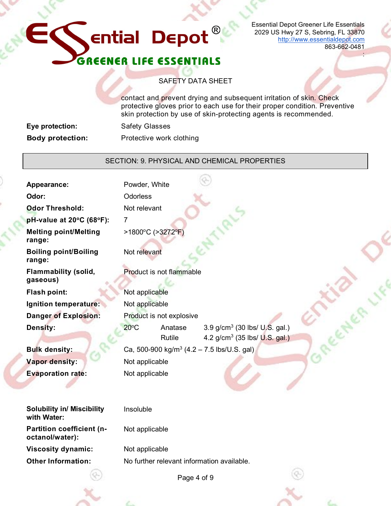## **ential Depot**  $\circledR$ GREENER LIFE ESSENTIALS

Essential Depot Greener Life Essentials 2029 US Hwy 27 S, Sebring, FL 33870 [http://www.essentialdepot.com](http://www.essentialdepot.com/) 863-662-0481

:

## SAFETY DATA SHEET

contact and prevent drying and subsequent irritation of skin. Check protective gloves prior to each use for their proper condition. Preventive skin protection by use of skin-protecting agents is recommended.

| Eye protection:         | <b>Safety Glasses</b>    |
|-------------------------|--------------------------|
| <b>Body protection:</b> | Protective work clothing |

## SECTION: 9. PHYSICAL AND CHEMICAL PROPERTIES

| <b>Appearance:</b>                                  | Powder, White                                                                                                                                                                           |
|-----------------------------------------------------|-----------------------------------------------------------------------------------------------------------------------------------------------------------------------------------------|
| Odor:                                               | <b>Odorless</b>                                                                                                                                                                         |
| <b>Odor Threshold:</b>                              | Not relevant                                                                                                                                                                            |
| pH-value at 20°C (68°F):                            | $\overline{7}$                                                                                                                                                                          |
| <b>Melting point/Melting</b><br>range:              | >1800°C (>3272°F)                                                                                                                                                                       |
| <b>Boiling point/Boiling</b><br>range:              | Not relevant                                                                                                                                                                            |
| <b>Flammability (solid,</b><br>gaseous)             | Product is not flammable                                                                                                                                                                |
| Flash point:                                        | Not applicable                                                                                                                                                                          |
| Ignition temperature:                               | Not applicable                                                                                                                                                                          |
| <b>Danger of Explosion:</b>                         | Product is not explosive                                                                                                                                                                |
| <b>Density:</b><br><b>Bulk density:</b>             | 3.9 g/cm <sup>3</sup> (30 lbs/ U.S. gal.)<br>$20^{\circ}$ C<br>Anatase<br>4.2 g/cm <sup>3</sup> (35 lbs/ U.S. gal.)<br>Rutile<br>Ca, 500-900 kg/m <sup>3</sup> (4.2 – 7.5 lbs/U.S. gal) |
| <b>Vapor density:</b>                               | Not applicable                                                                                                                                                                          |
| <b>Evaporation rate:</b>                            | Not applicable                                                                                                                                                                          |
| <b>Solubility in/ Miscibility</b><br>with Water:    | Insoluble                                                                                                                                                                               |
| <b>Partition coefficient (n-</b><br>octanol/water): | Not applicable                                                                                                                                                                          |
| <b>Viscosity dynamic:</b>                           | Not applicable                                                                                                                                                                          |
| <b>Other Information:</b>                           | No further relevant information available.                                                                                                                                              |
|                                                     | Page 4 of 9                                                                                                                                                                             |



Page 4 of 9

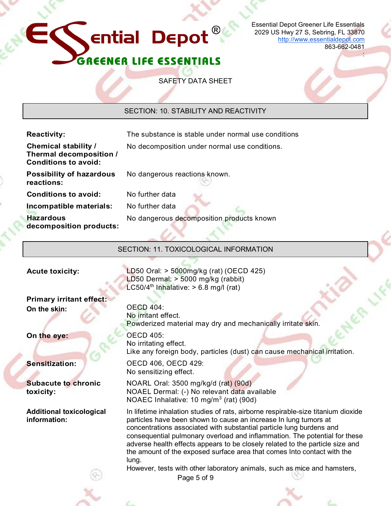# ential Depot $^\circledR$ GREENER LIFE ESSENTIALS

Essential Depot Greener Life Essentials 2029 US Hwy 27 S, Sebring, FL 33870 [http://www.essentialdepot.com](http://www.essentialdepot.com/) 863-662-0481

:

SAFETY DATA SHEET

SECTION: 10. STABILITY AND REACTIVITY

| <b>Reactivity:</b>                                                                    | The substance is stable under normal use conditions                                                                                                                                                                                                                                                                                                                                                                                                                              |
|---------------------------------------------------------------------------------------|----------------------------------------------------------------------------------------------------------------------------------------------------------------------------------------------------------------------------------------------------------------------------------------------------------------------------------------------------------------------------------------------------------------------------------------------------------------------------------|
| <b>Chemical stability /</b><br>Thermal decomposition /<br><b>Conditions to avoid:</b> | No decomposition under normal use conditions.                                                                                                                                                                                                                                                                                                                                                                                                                                    |
| <b>Possibility of hazardous</b><br>reactions:                                         | No dangerous reactions known.                                                                                                                                                                                                                                                                                                                                                                                                                                                    |
| <b>Conditions to avoid:</b>                                                           | No further data                                                                                                                                                                                                                                                                                                                                                                                                                                                                  |
| Incompatible materials:                                                               | No further data                                                                                                                                                                                                                                                                                                                                                                                                                                                                  |
| <b>Hazardous</b><br>decomposition products:                                           | No dangerous decomposition products known                                                                                                                                                                                                                                                                                                                                                                                                                                        |
|                                                                                       | SECTION: 11. TOXICOLOGICAL INFORMATION                                                                                                                                                                                                                                                                                                                                                                                                                                           |
| <b>Acute toxicity:</b>                                                                | LD50 Oral: $> 5000$ mg/kg (rat) (OECD 425)<br>LD50 Dermal: $>$ 5000 mg/kg (rabbit)<br>LC50/4 <sup>th</sup> Inhalative: > 6.8 mg/l (rat)                                                                                                                                                                                                                                                                                                                                          |
| <b>Primary irritant effect:</b>                                                       |                                                                                                                                                                                                                                                                                                                                                                                                                                                                                  |
| On the skin:                                                                          | <b>OECD 404:</b><br>No irritant effect.<br>Powderized material may dry and mechanically irritate skin.                                                                                                                                                                                                                                                                                                                                                                           |
| On the eye:                                                                           | <b>OECD 405:</b><br>No irritating effect.<br>Like any foreign body, particles (dust) can cause mechanical irritation.                                                                                                                                                                                                                                                                                                                                                            |
| <b>Sensitization:</b>                                                                 | OECD 406, OECD 429:<br>No sensitizing effect.                                                                                                                                                                                                                                                                                                                                                                                                                                    |
| <b>Subacute to chronic</b><br>toxicity:                                               | NOARL Oral: 3500 mg/kg/d (rat) (90d)<br>NOAEL Dermal: (-) No relevant data available<br>NOAEC Inhalative: 10 mg/m <sup>3</sup> (rat) (90d)                                                                                                                                                                                                                                                                                                                                       |
| <b>Additional toxicological</b><br>information:                                       | In lifetime inhalation studies of rats, airborne respirable-size titanium dioxide<br>particles have been shown to cause an increase In lung tumors at<br>concentrations associated with substantial particle lung burdens and<br>consequential pulmonary overload and inflammation. The potential for these<br>adverse health effects appears to be closely related to the particle size and<br>the amount of the exposed surface area that comes Into contact with the<br>lung. |
|                                                                                       | However, tests with other laboratory animals, such as mice and hamsters,<br>Page 5 of 9                                                                                                                                                                                                                                                                                                                                                                                          |
|                                                                                       |                                                                                                                                                                                                                                                                                                                                                                                                                                                                                  |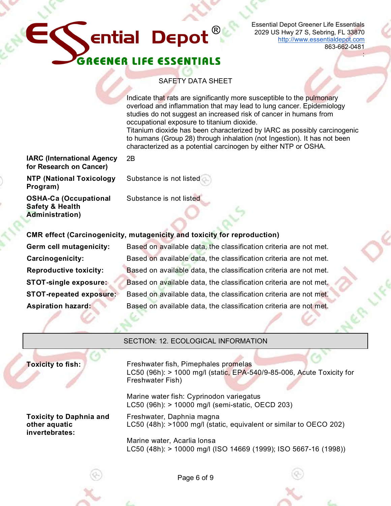## **Ential Depot REENER LIFE ESSENTIALS**

Essential Depot Greener Life Essentials 2029 US Hwy 27 S, Sebring, FL 33870 [http://www.essentialdepot.com](http://www.essentialdepot.com/) 863-662-0481

:

## SAFETY DATA SHEET

Indicate that rats are significantly more susceptible to the pulmonary overload and inflammation that may lead to lung cancer. Epidemiology studies do not suggest an increased risk of cancer in humans from occupational exposure to titanium dioxide.

Titanium dioxide has been characterized by lARC as possibly carcinogenic to humans (Group 28) through inhalation (not Ingestion). It has not been characterized as a potential carcinogen by either NTP or OSHA.

### **IARC (International Agency for Research on Cancer)** 2B

**NTP (National Toxicology Program)**

Substance is not listed

**OSHA-Ca (Occupational Safety & Health Administration)**

Substance is not listed

## **CMR effect (Carcinogenicity, mutagenicity and toxicity for reproduction)**

**Germ cell mutagenicity:** Based on available data, the classification criteria are not met. **Carcinogenicity:** Based on available data, the classification criteria are not met. **Reproductive toxicity:** Based on available data, the classification criteria are not met. **STOT-single exposure:** Based on available data, the classification criteria are not met. **STOT-repeated exposure:** Based on available data, the classification criteria are not met. **Aspiration hazard:** Based on available data, the classification criteria are not met.

| <b>SECTION: 12. ECOLOGICAL INFORMATION</b>                        |                                                                                                                                   |
|-------------------------------------------------------------------|-----------------------------------------------------------------------------------------------------------------------------------|
| <b>Toxicity to fish:</b>                                          | Freshwater fish, Pimephales promelas<br>LC50 (96h): > 1000 mg/l (static, EPA-540/9-85-006, Acute Toxicity for<br>Freshwater Fish) |
|                                                                   | Marine water fish: Cyprinodon variegatus<br>LC50 (96h): > 10000 mg/l (semi-static, OECD 203)                                      |
| <b>Toxicity to Daphnia and</b><br>other aquatic<br>invertebrates: | Freshwater, Daphnia magna<br>LC50 (48h): >1000 mg/l (static, equivalent or similar to OECO 202)                                   |
|                                                                   | Marine water, Acarlia lonsa<br>LC50 (48h): > 10000 mg/l (ISO 14669 (1999); ISO 5667-16 (1998))                                    |
|                                                                   |                                                                                                                                   |



Page 6 of 9

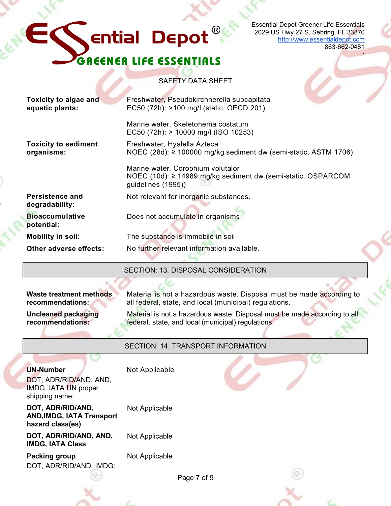## $^{\circledR}$ **Ential Depot IER LIFE ESSENTIALS** GREEN

Essential Depot Greener Life Essentials 2029 US Hwy 27 S, Sebring, FL 33870 [http://www.essentialdepot.com](http://www.essentialdepot.com/) 863-662-0481

:

## SAFETY DATA SHEET

| SECTION: 13. DISPOSAL CONSIDERATION                                                                                                |                                                                      |  |
|------------------------------------------------------------------------------------------------------------------------------------|----------------------------------------------------------------------|--|
|                                                                                                                                    |                                                                      |  |
| No further relevant information available.<br>Other adverse effects:                                                               |                                                                      |  |
| The substance is immobile in soil<br><b>Mobility in soil:</b>                                                                      |                                                                      |  |
| <b>Bioaccumulative</b><br>Does not accumulate in organisms<br>potential:                                                           |                                                                      |  |
| Persistence and<br>Not relevant for inorganic substances.<br>degradability:                                                        |                                                                      |  |
| Marine water, Corophium volutalor<br>NOEC (10d): ≥ 14989 mg/kg sediment dw (semi-static, OSPARCOM<br>guidelines (1995))            |                                                                      |  |
| <b>Toxicity to sediment</b><br>Freshwater, Hyalella Azteca<br>organisms:                                                           | NOEC (28d): $\geq$ 100000 mg/kg sediment dw (semi-static, ASTM 1706) |  |
| Marine water, Skeletonema costatum<br>EC50 (72h): > 10000 mg/l (ISO 10253)                                                         |                                                                      |  |
| Toxicity to algae and<br>Freshwater, Pseudokirchnerella subcapitata<br>EC50 (72h): >100 mg/l (static, OECD 201)<br>aquatic plants: |                                                                      |  |

**Waste treatment methods recommendations:**

**Uncleaned packaging recommendations:**

Material is not a hazardous waste. Disposal must be made according to all federal, state, and local (municipal) regulations.

Material is not a hazardous waste. Disposal must be made according to all federal, state, and local (municipal) regulations.

## SECTION: 14. TRANSPORT INFORMATION

### **UN-Number**

DOT, ADR/RID/AND, AND, IMDG, IATA UN proper shipping name:

### **DOT, ADR/RID/AND, AND,IMDG, IATA Transport hazard class(es)**

**DOT, ADR/RID/AND, AND, IMDG, IATA Class**

**Packing group** DOT, ADR/RID/AND, IMDG:

Not Applicable

Not Applicable

Not Applicable

Not Applicable

Page 7 of 9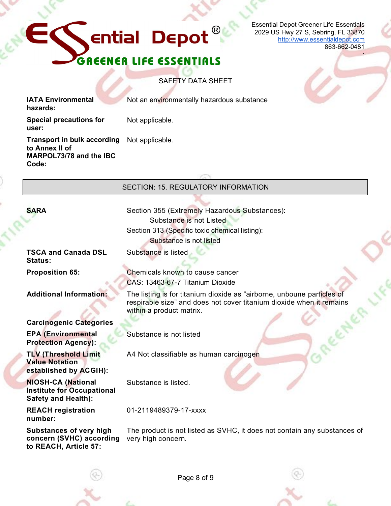# **Ential Depot** GREENER LIFE ESSENTIALS

Essential Depot Greener Life Essentials 2029 US Hwy 27 S, Sebring, FL 33870 [http://www.essentialdepot.com](http://www.essentialdepot.com/) 863-662-0481

:

SAFETY DATA SHEET

**IATA Environmental hazards:**

Not an environmentally hazardous substance

**Special precautions for user:**

Not applicable.

**Transport in bulk according to Annex II of MARPOL73/78 and the IBC Code:**

Not applicable.

SECTION: 15. REGULATORY INFORMATION **SARA** Section 355 (Extremely Hazardous Substances): Substance is not Listed Section 313 (Specific toxic chemical listing):

Substance is listed

within a product matrix.

Substance is not listed

Substance is listed.

01-2119489379-17-xxxx

Substance is not listed

CAS: 13463-67-7 Titanium Dioxide

A4 Not classifiable as human carcinogen

**TSCA and Canada DSL Status:**

**Proposition 65:** Chemicals known to cause cancer

**Additional Information:** The listing is for titanium dioxide as "airborne, unboune particles of

**Carcinogenic Categories EPA (Environmental Protection Agency):**

**TLV (Threshold Limit Value Notation established by ACGIH):**

**NIOSH-CA (National Institute for Occupational Safety and Health):**

**REACH registration number:**

**Substances of very high concern (SVHC) according to REACH, Article 57:**

The product is not listed as SVHC, it does not contain any substances of very high concern.

respirable size" and does not cover titanium dioxide when it remains



Page 8 of 9